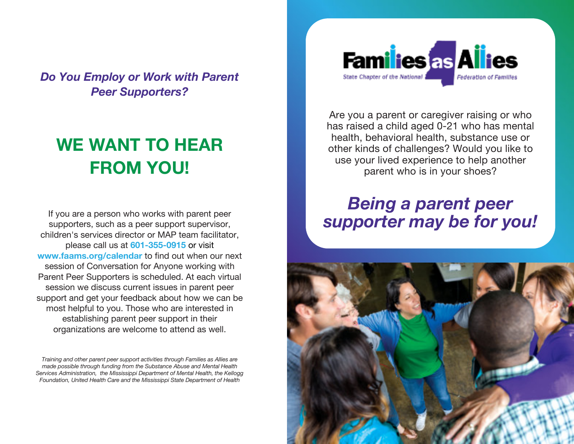*Do You Employ or Work with Parent Peer Supporters?*

# **WE WANT TO HEAR FROM YOU!**

If you are a person who works with parent peer supporters, such as a peer support supervisor, children's services director or MAP team facilitator, please call us at **601-355-0915** or visit **www.faams.org/calendar** to find out when our next session of Conversation for Anyone working with Parent Peer Supporters is scheduled. At each virtual session we discuss current issues in parent peer support and get your feedback about how we can be most helpful to you. Those who are interested in establishing parent peer support in their organizations are welcome to attend as well.

*Training and other parent peer support activities through Families as Allies are made possible through funding from the Substance Abuse and Mental Health Services Administration, the Mississippi Department of Mental Health, the Kellogg Foundation, United Health Care and the Mississippi State Department of Health*



Are you a parent or caregiver raising or who has raised a child aged 0-21 who has mental health, behavioral health, substance use or other kinds of challenges? Would you like to use your lived experience to help another parent who is in your shoes?

# *Being a parent peer supporter may be for you!*